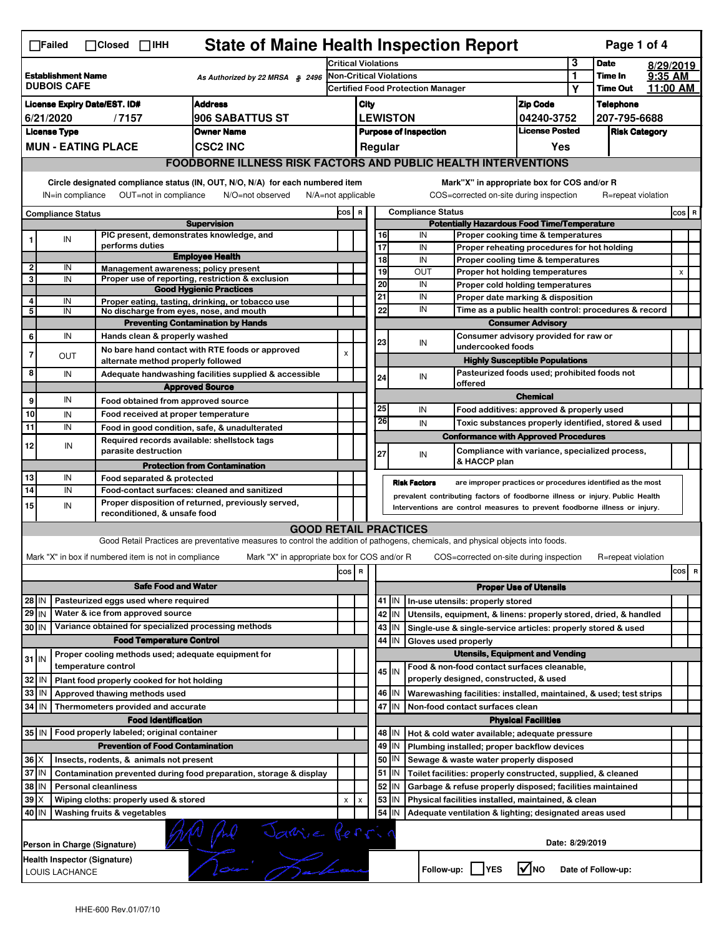| <b>State of Maine Health Inspection Report</b><br>Page 1 of 4<br>$\Box$ Failed<br>$\Box$ Closed $\Box$ IHH |                                                                                                                                                                       |                                                                            |                                                                                                                                                                   |                                                       |                         |                  |                                                    |                                                                                       |                   |                                                                                        |                  |                      |  |     |   |
|------------------------------------------------------------------------------------------------------------|-----------------------------------------------------------------------------------------------------------------------------------------------------------------------|----------------------------------------------------------------------------|-------------------------------------------------------------------------------------------------------------------------------------------------------------------|-------------------------------------------------------|-------------------------|------------------|----------------------------------------------------|---------------------------------------------------------------------------------------|-------------------|----------------------------------------------------------------------------------------|------------------|----------------------|--|-----|---|
|                                                                                                            |                                                                                                                                                                       |                                                                            |                                                                                                                                                                   | <b>Critical Violations</b>                            |                         |                  |                                                    |                                                                                       |                   | 3                                                                                      | <b>Date</b>      | 8/29/2019            |  |     |   |
| <b>Establishment Name</b><br>As Authorized by 22 MRSA § 2496<br><b>DUBOIS CAFE</b>                         |                                                                                                                                                                       |                                                                            | Non-Critical Violations                                                                                                                                           |                                                       |                         |                  |                                                    |                                                                                       | 1                 | Time In                                                                                | 9:35 AM          |                      |  |     |   |
|                                                                                                            |                                                                                                                                                                       |                                                                            | Certified Food Protection Manager                                                                                                                                 |                                                       |                         |                  |                                                    |                                                                                       | Υ                 | <b>Time Out</b>                                                                        | 11:00 AM         |                      |  |     |   |
| <b>Address</b><br><b>License Expiry Date/EST. ID#</b>                                                      |                                                                                                                                                                       |                                                                            |                                                                                                                                                                   | City                                                  |                         |                  |                                                    |                                                                                       | <b>Zip Code</b>   |                                                                                        | <b>Telephone</b> |                      |  |     |   |
| 906 SABATTUS ST<br>6/21/2020<br>/7157                                                                      |                                                                                                                                                                       |                                                                            |                                                                                                                                                                   | <b>LEWISTON</b><br>04240-3752                         |                         |                  |                                                    | 207-795-6688                                                                          |                   |                                                                                        |                  |                      |  |     |   |
|                                                                                                            | <b>License Type</b>                                                                                                                                                   |                                                                            | <b>Owner Name</b>                                                                                                                                                 | <b>License Posted</b><br><b>Purpose of Inspection</b> |                         |                  |                                                    |                                                                                       |                   |                                                                                        |                  | <b>Risk Category</b> |  |     |   |
|                                                                                                            |                                                                                                                                                                       | <b>MUN - EATING PLACE</b>                                                  | <b>CSC2 INC</b>                                                                                                                                                   |                                                       |                         | Regular          |                                                    |                                                                                       |                   | Yes                                                                                    |                  |                      |  |     |   |
|                                                                                                            |                                                                                                                                                                       |                                                                            | <b>FOODBORNE ILLNESS RISK FACTORS AND PUBLIC HEALTH INTERVENTIONS</b>                                                                                             |                                                       |                         |                  |                                                    |                                                                                       |                   |                                                                                        |                  |                      |  |     |   |
|                                                                                                            | Circle designated compliance status (IN, OUT, N/O, N/A) for each numbered item<br>OUT=not in compliance<br>IN=in compliance<br>N/O=not observed<br>N/A=not applicable |                                                                            |                                                                                                                                                                   |                                                       |                         |                  |                                                    |                                                                                       |                   | Mark"X" in appropriate box for COS and/or R<br>COS=corrected on-site during inspection |                  | R=repeat violation   |  |     |   |
| <b>Compliance Status</b>                                                                                   |                                                                                                                                                                       |                                                                            |                                                                                                                                                                   | <b>Compliance Status</b><br>COS R                     |                         |                  |                                                    |                                                                                       |                   |                                                                                        |                  | COS R                |  |     |   |
|                                                                                                            |                                                                                                                                                                       |                                                                            | <b>Supervision</b>                                                                                                                                                |                                                       |                         |                  | <b>Potentially Hazardous Food Time/Temperature</b> |                                                                                       |                   |                                                                                        |                  |                      |  |     |   |
| 1                                                                                                          | IN                                                                                                                                                                    | PIC present, demonstrates knowledge, and                                   |                                                                                                                                                                   |                                                       |                         | 16               |                                                    | IN                                                                                    |                   | Proper cooking time & temperatures                                                     |                  |                      |  |     |   |
|                                                                                                            |                                                                                                                                                                       | performs duties                                                            | <b>Employee Health</b>                                                                                                                                            |                                                       |                         | 17<br>18         |                                                    | IN<br>IN                                                                              |                   | Proper reheating procedures for hot holding                                            |                  |                      |  |     |   |
| $\overline{2}$                                                                                             | IN                                                                                                                                                                    | Management awareness: policy present                                       |                                                                                                                                                                   |                                                       |                         | 19               |                                                    | OUT                                                                                   |                   | Proper cooling time & temperatures<br>Proper hot holding temperatures                  |                  |                      |  | X   |   |
| 3                                                                                                          | IN                                                                                                                                                                    |                                                                            | Proper use of reporting, restriction & exclusion                                                                                                                  |                                                       |                         | 20               |                                                    | IN                                                                                    |                   | Proper cold holding temperatures                                                       |                  |                      |  |     |   |
|                                                                                                            |                                                                                                                                                                       |                                                                            | <b>Good Hygienic Practices</b>                                                                                                                                    |                                                       |                         | 21               |                                                    | IN                                                                                    |                   | Proper date marking & disposition                                                      |                  |                      |  |     |   |
| 4<br>5                                                                                                     | IN<br>IN                                                                                                                                                              | No discharge from eyes, nose, and mouth                                    | Proper eating, tasting, drinking, or tobacco use                                                                                                                  |                                                       |                         | 22               |                                                    | IN                                                                                    |                   | Time as a public health control: procedures & record                                   |                  |                      |  |     |   |
|                                                                                                            |                                                                                                                                                                       |                                                                            | <b>Preventing Contamination by Hands</b>                                                                                                                          |                                                       |                         |                  |                                                    |                                                                                       |                   | <b>Consumer Advisory</b>                                                               |                  |                      |  |     |   |
| 6                                                                                                          | IN                                                                                                                                                                    | Hands clean & properly washed                                              |                                                                                                                                                                   |                                                       |                         |                  |                                                    |                                                                                       |                   | Consumer advisory provided for raw or                                                  |                  |                      |  |     |   |
| $\overline{7}$                                                                                             |                                                                                                                                                                       |                                                                            | No bare hand contact with RTE foods or approved                                                                                                                   | $\boldsymbol{\mathsf{x}}$                             |                         | 23               |                                                    | IN                                                                                    | undercooked foods |                                                                                        |                  |                      |  |     |   |
|                                                                                                            | OUT                                                                                                                                                                   | alternate method properly followed                                         |                                                                                                                                                                   |                                                       |                         |                  |                                                    |                                                                                       |                   | <b>Highly Susceptible Populations</b>                                                  |                  |                      |  |     |   |
| 8                                                                                                          | IN                                                                                                                                                                    |                                                                            | Adequate handwashing facilities supplied & accessible                                                                                                             |                                                       |                         | 24               |                                                    | IN                                                                                    |                   | Pasteurized foods used; prohibited foods not                                           |                  |                      |  |     |   |
|                                                                                                            |                                                                                                                                                                       |                                                                            | <b>Approved Source</b>                                                                                                                                            |                                                       |                         |                  |                                                    | offered                                                                               |                   |                                                                                        |                  |                      |  |     |   |
| 9                                                                                                          | IN                                                                                                                                                                    | Food obtained from approved source                                         |                                                                                                                                                                   |                                                       |                         |                  |                                                    |                                                                                       |                   | <b>Chemical</b>                                                                        |                  |                      |  |     |   |
| 10                                                                                                         | IN                                                                                                                                                                    | Food received at proper temperature                                        |                                                                                                                                                                   |                                                       |                         | 25<br>26         |                                                    | IN                                                                                    |                   | Food additives: approved & properly used                                               |                  |                      |  |     |   |
| 11                                                                                                         | IN                                                                                                                                                                    |                                                                            | Food in good condition, safe, & unadulterated                                                                                                                     |                                                       |                         |                  |                                                    | IN                                                                                    |                   | Toxic substances properly identified, stored & used                                    |                  |                      |  |     |   |
| 12                                                                                                         | IN                                                                                                                                                                    | Required records available: shellstock tags                                |                                                                                                                                                                   |                                                       |                         |                  |                                                    |                                                                                       |                   | <b>Conformance with Approved Procedures</b>                                            |                  |                      |  |     |   |
|                                                                                                            |                                                                                                                                                                       | parasite destruction                                                       |                                                                                                                                                                   |                                                       |                         | 27               |                                                    | IN                                                                                    | & HACCP plan      | Compliance with variance, specialized process,                                         |                  |                      |  |     |   |
|                                                                                                            |                                                                                                                                                                       |                                                                            | <b>Protection from Contamination</b>                                                                                                                              |                                                       |                         |                  |                                                    |                                                                                       |                   |                                                                                        |                  |                      |  |     |   |
|                                                                                                            |                                                                                                                                                                       |                                                                            |                                                                                                                                                                   |                                                       |                         |                  |                                                    |                                                                                       |                   |                                                                                        |                  |                      |  |     |   |
| 13                                                                                                         | IN                                                                                                                                                                    | Food separated & protected                                                 |                                                                                                                                                                   |                                                       |                         |                  |                                                    | <b>Risk Factors</b>                                                                   |                   | are improper practices or procedures identified as the most                            |                  |                      |  |     |   |
| 14                                                                                                         | IN                                                                                                                                                                    |                                                                            | Food-contact surfaces: cleaned and sanitized                                                                                                                      |                                                       |                         |                  |                                                    | prevalent contributing factors of foodborne illness or injury. Public Health          |                   |                                                                                        |                  |                      |  |     |   |
| 15                                                                                                         | IN                                                                                                                                                                    | reconditioned, & unsafe food                                               | Proper disposition of returned, previously served,                                                                                                                |                                                       |                         |                  |                                                    | Interventions are control measures to prevent foodborne illness or injury.            |                   |                                                                                        |                  |                      |  |     |   |
|                                                                                                            |                                                                                                                                                                       |                                                                            |                                                                                                                                                                   |                                                       |                         |                  |                                                    |                                                                                       |                   |                                                                                        |                  |                      |  |     |   |
|                                                                                                            |                                                                                                                                                                       |                                                                            | <b>GOOD RETAIL PRACTICES</b><br>Good Retail Practices are preventative measures to control the addition of pathogens, chemicals, and physical objects into foods. |                                                       |                         |                  |                                                    |                                                                                       |                   |                                                                                        |                  |                      |  |     |   |
|                                                                                                            |                                                                                                                                                                       |                                                                            |                                                                                                                                                                   |                                                       |                         |                  |                                                    |                                                                                       |                   |                                                                                        |                  | R=repeat violation   |  |     |   |
|                                                                                                            |                                                                                                                                                                       | Mark "X" in box if numbered item is not in compliance                      | Mark "X" in appropriate box for COS and/or R                                                                                                                      |                                                       |                         |                  |                                                    |                                                                                       |                   | COS=corrected on-site during inspection                                                |                  |                      |  |     | R |
|                                                                                                            |                                                                                                                                                                       |                                                                            |                                                                                                                                                                   | cos                                                   | $\overline{\mathbf{R}}$ |                  |                                                    |                                                                                       |                   |                                                                                        |                  |                      |  | cos |   |
|                                                                                                            |                                                                                                                                                                       | <b>Safe Food and Water</b>                                                 |                                                                                                                                                                   |                                                       |                         |                  |                                                    |                                                                                       |                   | <b>Proper Use of Utensils</b>                                                          |                  |                      |  |     |   |
| 28 IN                                                                                                      |                                                                                                                                                                       | Pasteurized eggs used where required                                       |                                                                                                                                                                   |                                                       |                         | 41 J IN          |                                                    | In-use utensils: properly stored                                                      |                   |                                                                                        |                  |                      |  |     |   |
| $29$ IN                                                                                                    |                                                                                                                                                                       | Water & ice from approved source                                           |                                                                                                                                                                   |                                                       |                         | 42 IN            |                                                    | Utensils, equipment, & linens: properly stored, dried, & handled                      |                   |                                                                                        |                  |                      |  |     |   |
| 30 IN                                                                                                      |                                                                                                                                                                       | Variance obtained for specialized processing methods                       |                                                                                                                                                                   |                                                       |                         | 43   IN          |                                                    | Single-use & single-service articles: properly stored & used                          |                   |                                                                                        |                  |                      |  |     |   |
|                                                                                                            |                                                                                                                                                                       | <b>Food Temperature Control</b>                                            |                                                                                                                                                                   |                                                       |                         | 44               | IN                                                 | Gloves used properly                                                                  |                   |                                                                                        |                  |                      |  |     |   |
| $31$ IN                                                                                                    |                                                                                                                                                                       | Proper cooling methods used; adequate equipment for<br>temperature control |                                                                                                                                                                   |                                                       |                         |                  |                                                    |                                                                                       |                   | <b>Utensils, Equipment and Vending</b>                                                 |                  |                      |  |     |   |
|                                                                                                            | IN                                                                                                                                                                    |                                                                            |                                                                                                                                                                   |                                                       |                         | $45$ IN          |                                                    | Food & non-food contact surfaces cleanable,<br>properly designed, constructed, & used |                   |                                                                                        |                  |                      |  |     |   |
| 32                                                                                                         | IN                                                                                                                                                                    | Plant food properly cooked for hot holding                                 |                                                                                                                                                                   |                                                       |                         |                  |                                                    |                                                                                       |                   |                                                                                        |                  |                      |  |     |   |
| 33                                                                                                         | l IN                                                                                                                                                                  | Approved thawing methods used                                              |                                                                                                                                                                   |                                                       |                         | 46 IN<br>47 I IN |                                                    | Warewashing facilities: installed, maintained, & used; test strips                    |                   |                                                                                        |                  |                      |  |     |   |
| 34                                                                                                         |                                                                                                                                                                       | Thermometers provided and accurate<br><b>Food Identification</b>           |                                                                                                                                                                   |                                                       |                         |                  |                                                    | Non-food contact surfaces clean                                                       |                   |                                                                                        |                  |                      |  |     |   |
|                                                                                                            |                                                                                                                                                                       | 35 IN   Food properly labeled; original container                          |                                                                                                                                                                   |                                                       |                         | 48   IN          |                                                    |                                                                                       |                   | <b>Physical Facilities</b>                                                             |                  |                      |  |     |   |
|                                                                                                            |                                                                                                                                                                       | <b>Prevention of Food Contamination</b>                                    |                                                                                                                                                                   |                                                       |                         |                  | IN                                                 | Hot & cold water available; adequate pressure                                         |                   |                                                                                        |                  |                      |  |     |   |
| $36 \times$                                                                                                |                                                                                                                                                                       | Insects, rodents, & animals not present                                    |                                                                                                                                                                   |                                                       |                         | 49<br>50         | IN                                                 | Plumbing installed; proper backflow devices<br>Sewage & waste water properly disposed |                   |                                                                                        |                  |                      |  |     |   |
| 37 IN                                                                                                      |                                                                                                                                                                       |                                                                            | Contamination prevented during food preparation, storage & display                                                                                                |                                                       |                         | 51               | IN                                                 | Toilet facilities: properly constructed, supplied, & cleaned                          |                   |                                                                                        |                  |                      |  |     |   |
| 38                                                                                                         | IN                                                                                                                                                                    | <b>Personal cleanliness</b>                                                |                                                                                                                                                                   |                                                       |                         | 52               | ΙN                                                 | Garbage & refuse properly disposed; facilities maintained                             |                   |                                                                                        |                  |                      |  |     |   |
| 39                                                                                                         | ΙX                                                                                                                                                                    | Wiping cloths: properly used & stored                                      |                                                                                                                                                                   | X                                                     | x                       | 53               | ΙN                                                 | Physical facilities installed, maintained, & clean                                    |                   |                                                                                        |                  |                      |  |     |   |
| 40 IN                                                                                                      |                                                                                                                                                                       | Washing fruits & vegetables                                                |                                                                                                                                                                   |                                                       |                         | 54               | IN                                                 |                                                                                       |                   |                                                                                        |                  |                      |  |     |   |
|                                                                                                            |                                                                                                                                                                       |                                                                            |                                                                                                                                                                   |                                                       |                         |                  |                                                    | Adequate ventilation & lighting; designated areas used                                |                   |                                                                                        |                  |                      |  |     |   |
|                                                                                                            |                                                                                                                                                                       |                                                                            |                                                                                                                                                                   |                                                       |                         |                  |                                                    |                                                                                       |                   |                                                                                        |                  |                      |  |     |   |
|                                                                                                            |                                                                                                                                                                       | Person in Charge (Signature)                                               |                                                                                                                                                                   |                                                       |                         |                  |                                                    |                                                                                       |                   | Date: 8/29/2019                                                                        |                  |                      |  |     |   |
|                                                                                                            | LOUIS LACHANCE                                                                                                                                                        | Health Inspector (Signature)                                               | N (pul Janvie Perrin                                                                                                                                              |                                                       |                         |                  |                                                    | Follow-up:     YES                                                                    |                   | l√lno                                                                                  |                  | Date of Follow-up:   |  |     |   |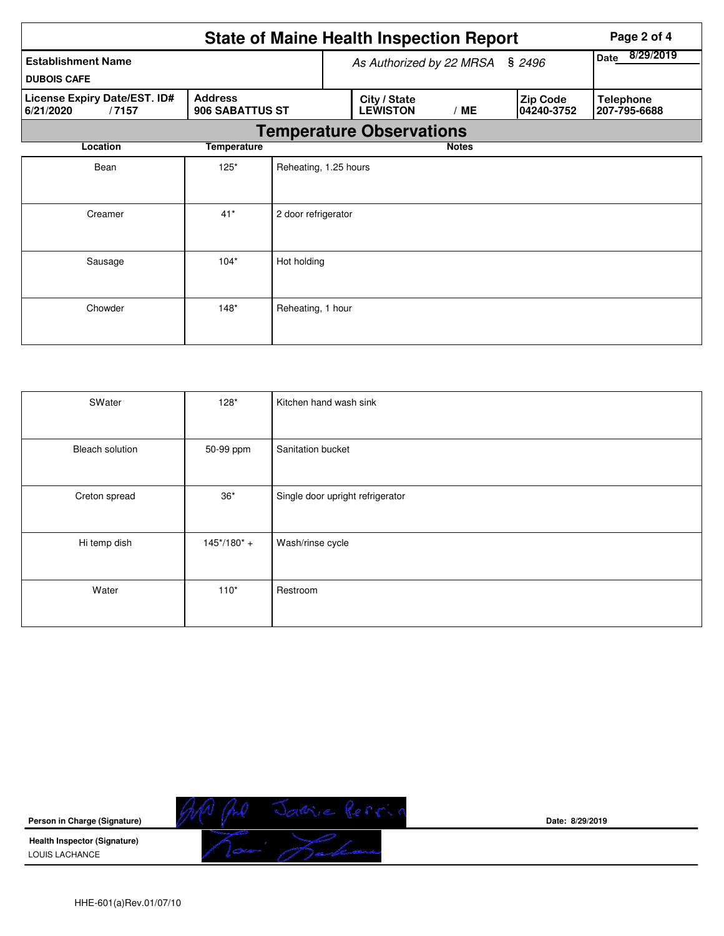|                                                    | <b>State of Maine Health Inspection Report</b> |                       |  |                                 | Page 2 of 4       |                               |                                  |
|----------------------------------------------------|------------------------------------------------|-----------------------|--|---------------------------------|-------------------|-------------------------------|----------------------------------|
| <b>Establishment Name</b><br><b>DUBOIS CAFE</b>    |                                                |                       |  | As Authorized by 22 MRSA        | 8/29/2019<br>Date |                               |                                  |
| License Expiry Date/EST. ID#<br>6/21/2020<br>/7157 | <b>Address</b><br>906 SABATTUS ST              |                       |  | City / State<br><b>LEWISTON</b> | /ME               | <b>Zip Code</b><br>04240-3752 | <b>Telephone</b><br>207-795-6688 |
|                                                    |                                                |                       |  | <b>Temperature Observations</b> |                   |                               |                                  |
| Location                                           | <b>Temperature</b>                             |                       |  |                                 | <b>Notes</b>      |                               |                                  |
| Bean                                               | $125*$                                         | Reheating, 1.25 hours |  |                                 |                   |                               |                                  |
| Creamer                                            | $41*$                                          | 2 door refrigerator   |  |                                 |                   |                               |                                  |
| Sausage                                            | $104*$                                         | Hot holding           |  |                                 |                   |                               |                                  |
| Chowder                                            | $148*$                                         | Reheating, 1 hour     |  |                                 |                   |                               |                                  |

| SWater                 | $128*$        | Kitchen hand wash sink           |
|------------------------|---------------|----------------------------------|
| <b>Bleach solution</b> | 50-99 ppm     | Sanitation bucket                |
| Creton spread          | $36^{\star}$  | Single door upright refrigerator |
| Hi temp dish           | $145*/180* +$ | Wash/rinse cycle                 |
| Water                  | $110*$        | Restroom                         |



**Date: 8/29/2019**

HHE-601(a)Rev.01/07/10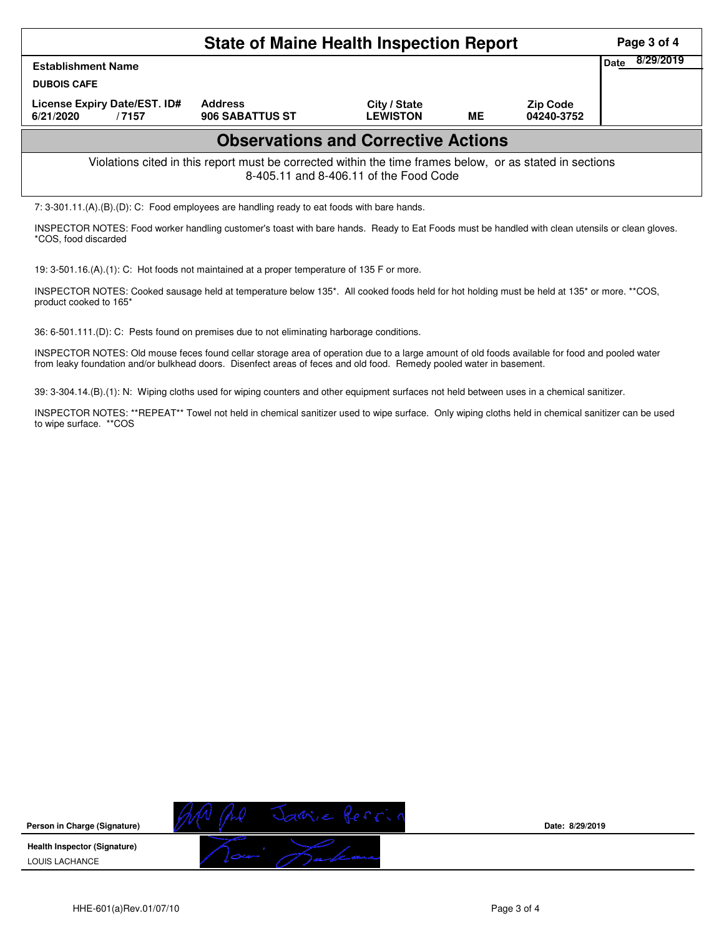| <b>State of Maine Health Inspection Report</b><br>Page 3 of 4                                                                                      |                                   |                                            |    |                               |                   |  |  |  |  |
|----------------------------------------------------------------------------------------------------------------------------------------------------|-----------------------------------|--------------------------------------------|----|-------------------------------|-------------------|--|--|--|--|
| <b>Establishment Name</b><br><b>DUBOIS CAFE</b>                                                                                                    |                                   |                                            |    |                               | 8/29/2019<br>Date |  |  |  |  |
| License Expiry Date/EST. ID#<br>6/21/2020<br>/7157                                                                                                 | <b>Address</b><br>906 SABATTUS ST | City / State<br><b>LEWISTON</b>            | ME | <b>Zip Code</b><br>04240-3752 |                   |  |  |  |  |
|                                                                                                                                                    |                                   | <b>Observations and Corrective Actions</b> |    |                               |                   |  |  |  |  |
| Violations cited in this report must be corrected within the time frames below, or as stated in sections<br>8-405.11 and 8-406.11 of the Food Code |                                   |                                            |    |                               |                   |  |  |  |  |
| 7: $3-301.11(A)(B)(D)$ : C: Food employees are handling ready to eat foods with bare hands.                                                        |                                   |                                            |    |                               |                   |  |  |  |  |

INSPECTOR NOTES: Food worker handling customer's toast with bare hands. Ready to Eat Foods must be handled with clean utensils or clean gloves. \*COS, food discarded

19: 3-501.16.(A).(1): C: Hot foods not maintained at a proper temperature of 135 F or more.

INSPECTOR NOTES: Cooked sausage held at temperature below 135\*. All cooked foods held for hot holding must be held at 135\* or more. \*\*COS, product cooked to 165\*

36: 6-501.111.(D): C: Pests found on premises due to not eliminating harborage conditions.

INSPECTOR NOTES: Old mouse feces found cellar storage area of operation due to a large amount of old foods available for food and pooled water from leaky foundation and/or bulkhead doors. Disenfect areas of feces and old food. Remedy pooled water in basement.

39: 3-304.14.(B).(1): N: Wiping cloths used for wiping counters and other equipment surfaces not held between uses in a chemical sanitizer.

INSPECTOR NOTES: \*\*REPEAT\*\* Towel not held in chemical sanitizer used to wipe surface. Only wiping cloths held in chemical sanitizer can be used to wipe surface. \*\*COS



**Date: 8/29/2019**